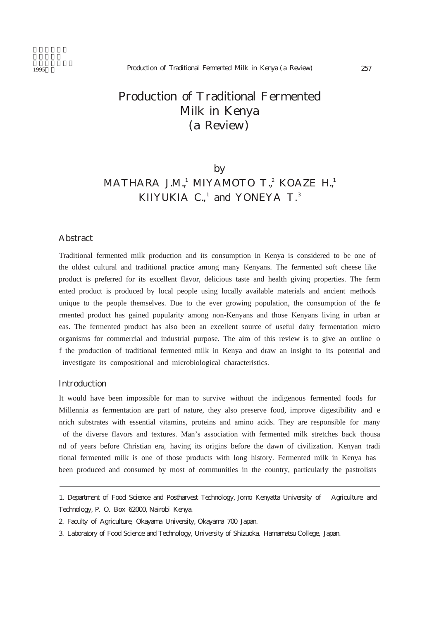# Production of Traditional Fermented Milk in Kenya (a Review)

## by MATHARA J.M.,<sup>1</sup> MIYAMOTO T.,<sup>2</sup> KOAZE H.,<sup>1</sup> KIIYUKIA  $C_n$ <sup>1</sup> and YONEYA  $T<sub>1</sub>$ <sup>3</sup>

#### Abstract

Traditional fermented milk production and its consumption in Kenya is considered to be one of the oldest cultural and traditional practice among many Kenyans. The fermented soft cheese like product is preferred for its excellent flavor, delicious taste and health giving properties. The ferm ented product is produced by local people using locally available materials and ancient methods unique to the people themselves. Due to the ever growing population, the consumption of the fe rmented product has gained popularity among non-Kenyans and those Kenyans living in urban ar eas. The fermented product has also been an excellent source of useful dairy fermentation micro organisms for commercial and industrial purpose. The aim of this review is to give an outline o f the production of traditional fermented milk in Kenya and draw an insight to its potential and investigate its compositional and microbiological characteristics.

#### **Introduction**

It would have been impossible for man to survive without the indigenous fermented foods for Millennia as fermentation are part of nature, they also preserve food, improve digestibility and e nrich substrates with essential vitamins, proteins and amino acids. They are responsible for many of the diverse flavors and textures. Man's association with fermented milk stretches back thousa nd of years before Christian era, having its origins before the dawn of civilization. Kenyan tradi tional fermented milk is one of those products with long history. Fermented milk in Kenya has been produced and consumed by most of communities in the country, particularly the pastrolists

<sup>1.</sup> Department of Food Science and Postharvest Technology, Jomo Kenyatta University of Agriculture and Technology, P. O. Box 62000, Nairobi Kenya.

<sup>2.</sup> Faculty of Agriculture, Okayama University, Okayama 700 Japan.

<sup>3.</sup> Laboratory of Food Science and Technology, University of Shizuoka, Hamamatsu College, Japan.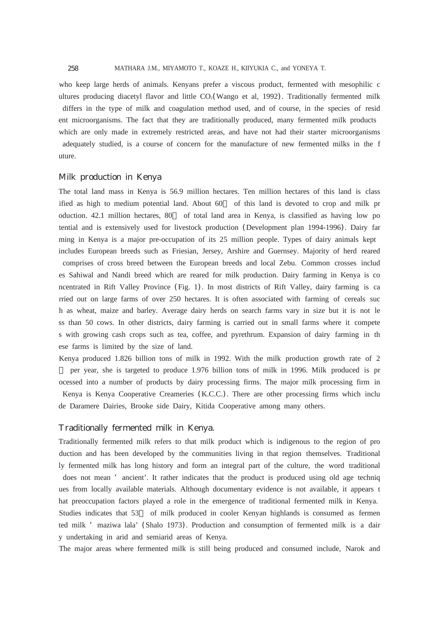MATHARA J.M., MIYAMOTO T., KOAZE H., KIIYUKIA C., and YONEYA T.

who keep large herds of animals. Kenyans prefer a viscous product, fermented with mesophilic c ultures producing diacetyl flavor and little CO<sub>2</sub>(Wango et al, 1992). Traditionally fermented milk differs in the type of milk and coagulation method used, and of course, in the species of resid ent microorganisms. The fact that they are traditionally produced, many fermented milk products which are only made in extremely restricted areas, and have not had their starter microorganisms adequately studied, is a course of concern for the manufacture of new fermented milks in the f uture.

#### Milk production in Kenya

The total land mass in Kenya is 56.9 million hectares. Ten million hectares of this land is class ified as high to medium potential land. About 60 of this land is devoted to crop and milk pr oduction. 42.1 million hectares, 80 of total land area in Kenya, is classified as having low po tential and is extensively used for livestock production (Development plan 1994-1996). Dairy far ming in Kenya is a major pre-occupation of its 25 million people. Types of dairy animals kept includes European breeds such as Friesian, Jersey, Arshire and Guernsey. Majority of herd reared comprises of cross breed between the European breeds and local Zebu. Common crosses includ es Sahiwal and Nandi breed which are reared for milk production. Dairy farming in Kenya is co ncentrated in Rift Valley Province (Fig. 1). In most districts of Rift Valley, dairy farming is ca rried out on large farms of over 250 hectares. It is often associated with farming of cereals suc h as wheat, maize and barley. Average dairy herds on search farms vary in size but it is not le ss than 50 cows. In other districts, dairy farming is carried out in small farms where it compete s with growing cash crops such as tea, coffee, and pyrethrum. Expansion of dairy farming in th ese farms is limited by the size of land.

Kenya produced 1.826 billion tons of milk in 1992. With the milk production growth rate of 2 per year, she is targeted to produce 1.976 billion tons of milk in 1996. Milk produced is pr ocessed into a number of products by dairy processing firms. The major milk processing firm in Kenya is Kenya Cooperative Creameries (K.C.C.). There are other processing firms which inclu de Daramere Dairies, Brooke side Dairy, Kitida Cooperative among many others.

#### Traditionally fermented milk in Kenya.

Traditionally fermented milk refers to that milk product which is indigenous to the region of pro duction and has been developed by the communities living in that region themselves. Traditional ly fermented milk has long history and form an integral part of the culture, the word traditional does not mean ' ancient'. It rather indicates that the product is produced using old age techniq ues from locally available materials. Although documentary evidence is not available, it appears t hat preoccupation factors played a role in the emergence of traditional fermented milk in Kenya. Studies indicates that 53 of milk produced in cooler Kenyan highlands is consumed as fermen ted milk 'maziwa lala' (Shalo 1973). Production and consumption of fermented milk is a dair y undertaking in arid and semiarid areas of Kenya.

The major areas where fermented milk is still being produced and consumed include, Narok and

258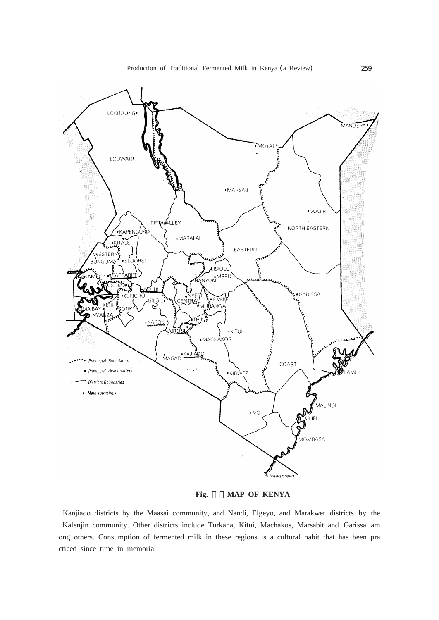

**Fig.** 1.**MAP OF KENYA**

Kanjiado districts by the Maasai community, and Nandi, Elgeyo, and Marakwet districts by the Kalenjin community. Other districts include Turkana, Kitui, Machakos, Marsabit and Garissa am ong others. Consumption of fermented milk in these regions is a cultural habit that has been pra cticed since time in memorial.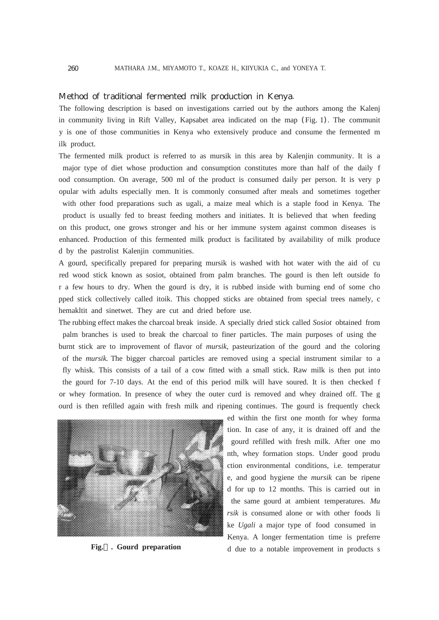#### Method of traditional fermented milk production in Kenya.

The following description is based on investigations carried out by the authors among the Kalenj in community living in Rift Valley, Kapsabet area indicated on the map (Fig. 1). The communit y is one of those communities in Kenya who extensively produce and consume the fermented m ilk product.

The fermented milk product is referred to as mursik in this area by Kalenjin community. It is a major type of diet whose production and consumption constitutes more than half of the daily f ood consumption. On average, 500 ml of the product is consumed daily per person. It is very p opular with adults especially men. It is commonly consumed after meals and sometimes together with other food preparations such as ugali, a maize meal which is a staple food in Kenya. The product is usually fed to breast feeding mothers and initiates. It is believed that when feeding on this product, one grows stronger and his or her immune system against common diseases is enhanced. Production of this fermented milk product is facilitated by availability of milk produce d by the pastrolist Kalenjin communities.

A gourd, specifically prepared for preparing mursik is washed with hot water with the aid of cu red wood stick known as sosiot, obtained from palm branches. The gourd is then left outside fo r a few hours to dry. When the gourd is dry, it is rubbed inside with burning end of some cho pped stick collectively called itoik. This chopped sticks are obtained from special trees namely, c hemakltit and sinetwet. They are cut and dried before use.

The rubbing effect makes the charcoal break inside. A specially dried stick called *Sosiot* obtained from palm branches is used to break the charcoal to finer particles. The main purposes of using the burnt stick are to improvement of flavor of *mursik*, pasteurization of the gourd and the coloring of the *mursik.* The bigger charcoal particles are removed using a special instrument similar to a fly whisk. This consists of a tail of a cow fitted with a small stick. Raw milk is then put into the gourd for 7-10 days. At the end of this period milk will have soured. It is then checked f or whey formation. In presence of whey the outer curd is removed and whey drained off. The g ourd is then refilled again with fresh milk and ripening continues. The gourd is frequently check



**Fig. . Gourd preparation**

ed within the first one month for whey forma tion. In case of any, it is drained off and the gourd refilled with fresh milk. After one mo nth, whey formation stops. Under good produ ction environmental conditions, i.e. temperatur e, and good hygiene the *mursik* can be ripene d for up to 12 months. This is carried out in the same gourd at ambient temperatures. *Mu rsik* is consumed alone or with other foods li ke *Ugali* a major type of food consumed in Kenya. A longer fermentation time is preferre d due to a notable improvement in products s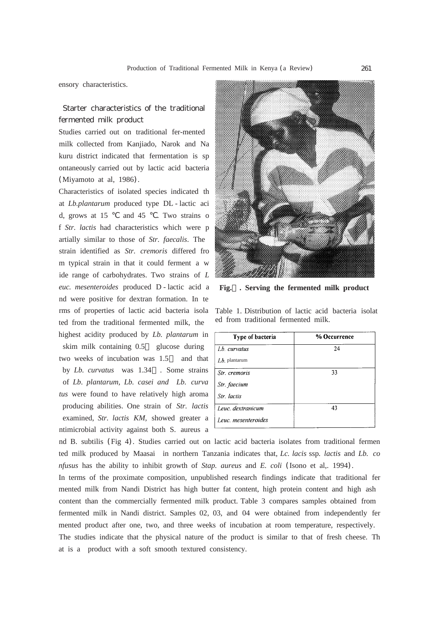ensory characteristics.

### Starter characteristics of the traditional fermented milk product

Studies carried out on traditional fer-mented milk collected from Kanjiado, Narok and Na kuru district indicated that fermentation is sp ontaneously carried out by lactic acid bacteria (Miyamoto at al, 1986).

Characteristics of isolated species indicated th at *Lb.plantarum* produced type DL - lactic aci d, grows at 15 and 45 . Two strains o f *Str. lactis* had characteristics which were p artially similar to those of *Str. faecalis*. The strain identified as *Str. cremoris* differed fro m typical strain in that it could ferment a w ide range of carbohydrates. Two strains of *L euc. mesenteroides* produced D - lactic acid a nd were positive for dextran formation. In te rms of properties of lactic acid bacteria isola ted from the traditional fermented milk, the highest acidity produced by *Lb. plantarum* in skim milk containing 0.5 glucose during two weeks of incubation was 1.5 and that by *Lb. curvatus* was 1.34 . Some strains of *Lb*. *plantarum, Lb. casei and Lb. curva tus* were found to have relatively high aroma producing abilities. One strain of *Str. lactis* examined, *Str. lactis KM,* showed greater a ntimicrobial activity against both S. aureus a



**Fig. . Serving the fermented milk product**

Table 1. Distribution of lactic acid bacteria isolat ed from traditional fermented milk.

| Type of bacteria    | % Occurrence |  |  |  |
|---------------------|--------------|--|--|--|
| $Lb$ curvatus       | 24           |  |  |  |
| $Lb$ . plantarum    |              |  |  |  |
| Str. cremoris       | 33           |  |  |  |
| Str. faecium        |              |  |  |  |
| Str lactis          |              |  |  |  |
| Leuc. dextranicum   | 43           |  |  |  |
| Leuc. mesenteroides |              |  |  |  |

nd B. subtilis (Fig 4). Studies carried out on lactic acid bacteria isolates from traditional fermen ted milk produced by Maasai in northern Tanzania indicates that, *Lc. lacis* ssp*. lactis* and *Lb. co nfusus* has the ability to inhibit growth of *Stap. aureus* and *E. coli* (Isono et al,. 1994).

In terms of the proximate composition, unpublished research findings indicate that traditional fer mented milk from Nandi District has high butter fat content, high protein content and high ash content than the commercially fermented milk product. Table 3 compares samples obtained from fermented milk in Nandi district. Samples 02, 03, and 04 were obtained from independently fer mented product after one, two, and three weeks of incubation at room temperature, respectively. The studies indicate that the physical nature of the product is similar to that of fresh cheese. Th at is a product with a soft smooth textured consistency.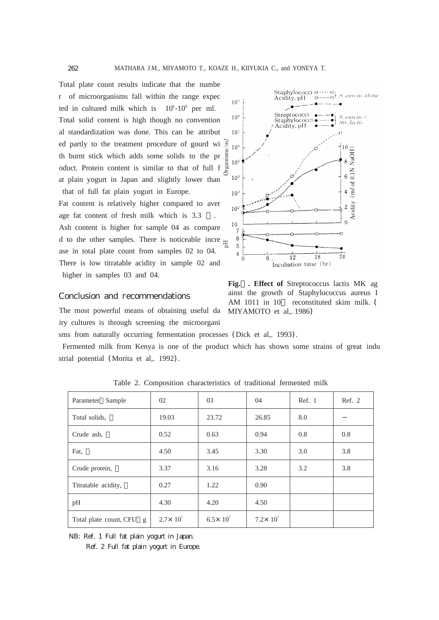262

Total plate count results indicate that the numbe r of microorganisms fall within the range expec ted in cultured milk which is  $10^6$ - $10^9$  per ml. Total solid content is high though no convention al standardization was done. This can be attribut ed partly to the treatment procedure of gourd wi th burnt stick which adds some solids to the pr oduct. Protein content is similar to that of full f at plain yogurt in Japan and slightly lower than that of full fat plain yogurt in Europe.

Fat content is relatively higher compared to aver age fat content of fresh milk which is 3.3 Ash content is higher for sample 04 as compare d to the other samples. There is noticeable incre  $\frac{1}{6}$ ase in total plate count from samples 02 to 04. There is low titratable acidity in sample 02 and higher in samples 03 and 04.

#### Conclusion and recommendations

The most powerful means of obtaining useful da iry cultures is through screening the microorgani



Fermented milk from Kenya is one of the product which has shown some strains of great indu strial potential (Morita et al,. 1992).

| Sample<br>Parameter      | 02                  | 03                  | 04                  | Ref. 1 | Ref. 2 |  |
|--------------------------|---------------------|---------------------|---------------------|--------|--------|--|
| Total solids,            | 19.03               | 23.72               | 26.85               | 8.0    |        |  |
| Crude ash,               | 0.52                | 0.63                | 0.94                | 0.8    | 0.8    |  |
| Fat,                     | 4.50                | 3.45                | 3.30                | 3.0    | 3.8    |  |
| Crude protein,           | 3.37                | 3.16                | 3.28                | 3.2    | 3.8    |  |
| Titratable acidity,      | 0.27                | 1.22                | 0.90                |        |        |  |
| pH                       | 4.30                | 4.20                | 4.50                |        |        |  |
| Total plate count, CFU g | $2.7 \times 10^{7}$ | $6.5 \times 10^{7}$ | $7.2 \times 10^{7}$ |        |        |  |

Table 2. Composition characteristics of traditional fermented milk

NB: Ref. 1 Full fat plain yogurt in Japan.

Ref. 2 Full fat plain yogurt in Europe.



**Fig. . Effect of** Streptococcus lactis MK ag ainst the growth of Staphylococcus aureus I AM 1011 in 10 reconstituted skim milk. (

MIYAMOTO et al,. 1986)